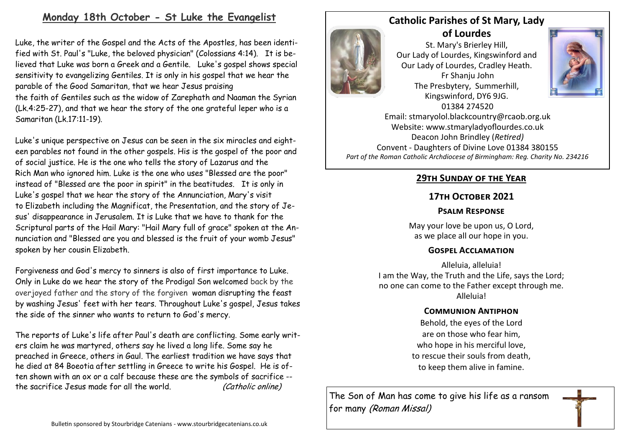# **Monday 18th October - St Luke the Evangelist**

Luke, the writer of the Gospel and the [Acts](https://www.catholic.org/bible/book.php?id=51) of the Apostles, has been identified with St. Paul's "Luke, the beloved physician" (Colossians 4:14). It is believed that [Luke](https://www.catholic.org/bible/book.php?id=49) was born a Greek and a Gentile. Luke's gospel shows special sensitivity to evangelizing Gentiles. It is only in his gospel that we hear the parable of the [Good](https://www.catholic.org/encyclopedia/view.php?id=5257) Samaritan, that we hear [Jesus](https://www.catholic.org/clife/jesus) praising the [faith](https://www.catholic.org/encyclopedia/view.php?id=4554) of [Gentiles](https://www.catholic.org/encyclopedia/view.php?id=5057) such as the [widow](https://www.catholic.org/encyclopedia/view.php?id=12313) of Zarephath and Naaman the Syrian (Lk.4:25-27), and that we hear the story of the one grateful leper who is a Samaritan (Lk.17:11-19).

Luke's unique perspective on [Jesus](https://www.catholic.org/clife/jesus) can be seen in the six miracles and eighteen [parables](https://www.catholic.org/encyclopedia/view.php?id=8963) not found in the other gospels. His is the gospel of the poor and of social justice. He is the one who tells the story of [Lazarus](https://www.catholic.org/encyclopedia/view.php?id=6939) and the Rich [Man](https://www.catholic.org/encyclopedia/view.php?id=7463) who ignored him. [Luke](https://www.catholic.org/bible/book.php?id=49) is the one who uses "Blessed are the poor" instead of "Blessed are the poor in spirit" in the beatitudes. It is only in Luke's gospel that we hear the story of the Annunciation, Mary's visit to [Elizabeth](https://www.catholic.org/encyclopedia/view.php?id=4234) including the Magnificat, the Presentation, and the story of Jesus' disappearance in Jerusalem. It is [Luke](https://www.catholic.org/bible/book.php?id=49) that we have to thank for the Scriptural parts of the Hail Mary: "Hail [Mary](https://www.catholic.org/bookstore/?category=19) full of grace" spoken at the Annunciation and "Blessed are you and blessed is the fruit of your womb Jesus" spoken by her cousin Elizabeth.

Forgiveness and God's mercy to sinners is also of first importance to Luke. Only in [Luke](https://www.catholic.org/bible/book.php?id=49) do we hear the story of the Prodigal Son welcomed back by the overjoyed father and the story of the forgiven [woman](https://www.catholic.org/encyclopedia/view.php?id=12437) disrupting the feast by washing Jesus' feet with her tears. Throughout Luke's gospel, [Jesus](https://www.catholic.org/clife/jesus) takes the side of the sinner who wants to return to God's mercy.

The reports of Luke's [life](https://www.catholic.org/encyclopedia/view.php?id=7101) after Paul's death are conflicting. Some early writers claim he was martyred, others say he lived a long life. Some say he preached in Greece, others in Gaul. The earliest tradition we have says that he died at 84 Boeotia after settling in [Greece](https://www.catholic.org/encyclopedia/view.php?id=5347) to write his Gospel. He is often shown with an ox or a calf because these are the symbols of [sacrifice](https://www.catholic.org/encyclopedia/view.php?id=10284) - the [sacrifice](https://www.catholic.org/encyclopedia/view.php?id=10284) [Jesus](https://www.catholic.org/clife/jesus) made for all the world. (Catholic online)



**Catholic Parishes of St Mary, Lady of Lourdes**  St. Mary's Brierley Hill,

Our Lady of Lourdes, Kingswinford and Our Lady of Lourdes, Cradley Heath. Fr Shanju John The Presbytery, Summerhill, Kingswinford, DY6 9JG. 01384 274520



Email: stmaryolol.blackcountry@rcaob.org.uk Website: www.stmaryladyoflourdes.co.uk Deacon John Brindley (*Retired)* Convent - Daughters of Divine Love 01384 380155 *Part of the Roman Catholic Archdiocese of Birmingham: Reg. Charity No. 234216*

# **29th Sunday of the Year**

### **17th October 2021**

### **Psalm Response**

May your love be upon us, O Lord, as we place all our hope in you.

### **Gospel Acclamation**

Alleluia, alleluia! I am the Way, the Truth and the Life, says the Lord; no one can come to the Father except through me. Alleluia!

### **Communion Antiphon**

Behold, the eyes of the Lord are on those who fear him, who hope in his merciful love, to rescue their souls from death, to keep them alive in famine.

The Son of Man has come to give his life as a ransom for many (Roman Missal)